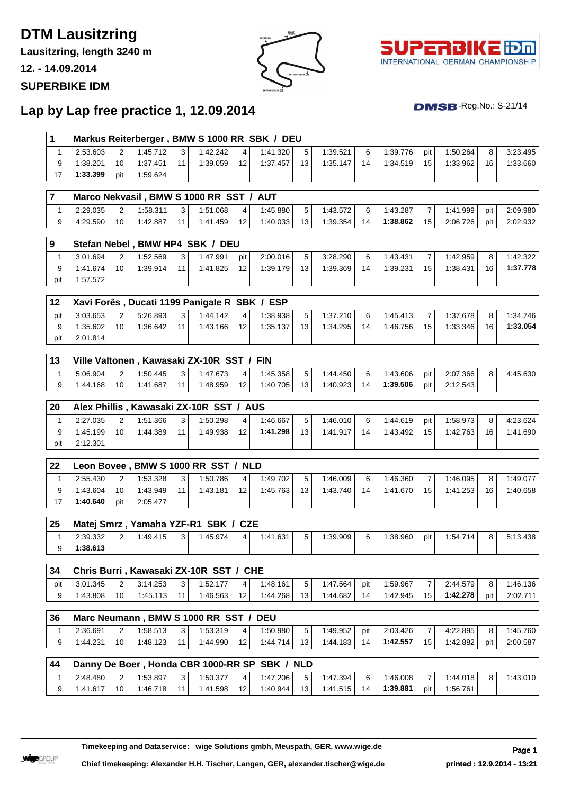# **DTM Lausitzring**

**Lausitzring, length 3240 m**

**12. - 14.09.2014**

#### **SUPERBIKE IDM**





 $DMSB$ -Reg.No.: S-21/14

## **Lap by Lap free practice 1, 12.09.2014**

| 1                 |          |                | Markus Reiterberger, BMW S 1000 RR SBK / DEU |         |                      |         |                      |         |                      |           |                      |                |                      |     |                      |
|-------------------|----------|----------------|----------------------------------------------|---------|----------------------|---------|----------------------|---------|----------------------|-----------|----------------------|----------------|----------------------|-----|----------------------|
| $\mathbf{1}$      | 2:53.603 | 2              | 1:45.712                                     | 3       | 1:42.242             | 4       | 1:41.320             | 5       | 1:39.521             | 6         | 1:39.776             | pit            | 1:50.264             | 8   | 3:23.495             |
| 9                 | 1:38.201 | 10             | 1:37.451                                     | 11      | 1:39.059             | 12      | 1:37.457             | 13      | 1:35.147             | 14        | 1:34.519             | 15             | 1:33.962             | 16  | 1:33.660             |
| 17                | 1:33.399 | pit            | 1:59.624                                     |         |                      |         |                      |         |                      |           |                      |                |                      |     |                      |
| $\overline{7}$    |          |                | Marco Nekvasil, BMW S 1000 RR SST / AUT      |         |                      |         |                      |         |                      |           |                      |                |                      |     |                      |
| $\mathbf{1}$      | 2:29.035 | 2              | 1:58.311                                     | 3       | 1:51.068             | 4       | 1:45.880             | 5       | 1:43.572             | 6         | 1:43.287             | 7              | 1:41.999             | pit | 2:09.980             |
| 9                 | 4:29.590 | 10             | 1:42.887                                     | 11      | 1:41.459             | 12      | 1:40.033             | 13      | 1:39.354             | 14        | 1:38.862             | 15             | 2:06.726             | pit | 2:02.932             |
|                   |          |                |                                              |         |                      |         |                      |         |                      |           |                      |                |                      |     |                      |
| 9                 |          |                | Stefan Nebel, BMW HP4 SBK / DEU              |         |                      |         |                      |         |                      |           |                      |                |                      |     |                      |
| $\mathbf{1}$      | 3:01.694 | 2              | 1:52.569                                     | 3       | 1:47.991             | pit     | 2:00.016             | 5       | 3:28.290             | 6         | 1:43.431             | 7              | 1:42.959             | 8   | 1:42.322             |
| 9                 | 1:41.674 | 10             | 1:39.914                                     | 11      | 1:41.825             | 12      | 1:39.179             | 13      | 1:39.369             | 14        | 1:39.231             | 15             | 1:38.431             | 16  | 1:37.778             |
| pit               | 1:57.572 |                |                                              |         |                      |         |                      |         |                      |           |                      |                |                      |     |                      |
| 12                |          |                | Xavi Forês, Ducati 1199 Panigale R SBK / ESP |         |                      |         |                      |         |                      |           |                      |                |                      |     |                      |
| pit               | 3:03.653 | $\overline{2}$ | 5:26.893                                     | 3       | 1:44.142             | 4       | 1:38.938             | 5       | 1:37.210             | 6         | 1:45.413             | $\overline{7}$ | 1:37.678             | 8   | 1:34.746             |
| 9                 | 1:35.602 | 10             | 1:36.642                                     | 11      | 1:43.166             | 12      | 1:35.137             | 13      | 1:34.295             | 14        | 1:46.756             | 15             | 1:33.346             | 16  | 1:33.054             |
| pit               | 2:01.814 |                |                                              |         |                      |         |                      |         |                      |           |                      |                |                      |     |                      |
| 13                |          |                | Ville Valtonen, Kawasaki ZX-10R SST / FIN    |         |                      |         |                      |         |                      |           |                      |                |                      |     |                      |
| $\mathbf{1}$      | 5:06.904 | 2              | 1:50.445                                     | 3       | 1:47.673             | 4       | 1:45.358             | 5       | 1:44.450             | 6         | 1:43.606             | pit            | 2:07.366             | 8   | 4:45.630             |
| 9                 | 1:44.168 | 10             | 1:41.687                                     | 11      | 1:48.959             | 12      | 1:40.705             | 13      | 1:40.923             | 14        | 1:39.506             | pit            | 2:12.543             |     |                      |
|                   |          |                |                                              |         |                      |         |                      |         |                      |           |                      |                |                      |     |                      |
| 20                |          |                | Alex Phillis, Kawasaki ZX-10R SST / AUS      |         |                      |         |                      |         |                      |           |                      |                |                      |     |                      |
| $\mathbf{1}$      | 2:27.035 | $\overline{2}$ | 1:51.366                                     | 3       | 1:50.298             | 4       | 1:46.667             | 5       | 1:46.010             | 6         | 1:44.619             | pit            | 1:58.973             | 8   | 4:23.624             |
| 9                 | 1:45.199 | 10             | 1:44.389                                     | 11      | 1:49.938             | 12      | 1:41.298             | 13      | 1:41.917             | 14        | 1:43.492             | 15             | 1:42.763             | 16  | 1:41.690             |
| pit               | 2:12.301 |                |                                              |         |                      |         |                      |         |                      |           |                      |                |                      |     |                      |
| 22                |          |                | Leon Bovee, BMW S 1000 RR SST / NLD          |         |                      |         |                      |         |                      |           |                      |                |                      |     |                      |
| 1                 | 2:55.430 | 2              | 1:53.328                                     | 3       | 1:50.786             | 4       | 1:49.702             | 5       | 1:46.009             | 6         | 1:46.360             | $\overline{7}$ | 1:46.095             | 8   | 1:49.077             |
| 9                 | 1:43.604 | 10             | 1:43.949                                     | 11      | 1:43.181             | 12      | 1:45.763             | 13      | 1:43.740             | 14        | 1:41.670             | 15             | 1:41.253             | 16  | 1:40.658             |
| 17                | 1:40.640 | pit            | 2:05.477                                     |         |                      |         |                      |         |                      |           |                      |                |                      |     |                      |
|                   |          |                |                                              |         |                      |         |                      |         |                      |           |                      |                |                      |     |                      |
| 25                |          |                | Matej Smrz, Yamaha YZF-R1 SBK / CZE          |         |                      |         |                      |         |                      |           |                      |                |                      |     |                      |
| $\mathbf{1}$      | 2:39.332 | $\overline{2}$ | 1:49.415                                     | 3       | 1:45.974             | 4       | 1:41.631             | 5       | 1:39.909             | 6         | 1:38.960             | pit            | 1:54.714             | 8   | 5:13.438             |
| 9                 | 1:38.613 |                |                                              |         |                      |         |                      |         |                      |           |                      |                |                      |     |                      |
| 34                |          |                | Chris Burri, Kawasaki ZX-10R SST / CHE       |         |                      |         |                      |         |                      |           |                      |                |                      |     |                      |
| pit               | 3:01.345 | 2              | 3:14.253                                     | 3       | 1:52.177             | 4       | 1:48.161             | 5       | 1:47.564             | pit       | 1:59.967             | 7              | 2:44.579             | 8   | 1:46.136             |
| 9                 | 1:43.808 | 10             | 1:45.113                                     | 11      | 1:46.563             | 12      | 1:44.268             | 13      | 1:44.682             | 14        | 1:42.945             | 15             | 1:42.278             | pit | 2:02.711             |
| 36                |          |                |                                              |         |                      |         |                      |         |                      |           |                      |                |                      |     |                      |
|                   | 2:36.691 |                | Marc Neumann, BMW S 1000 RR SST / DEU        |         |                      |         |                      |         |                      |           |                      |                |                      |     |                      |
| $\mathbf{1}$<br>9 | 1:44.231 | 2<br>10        | 1:58.513<br>1:48.123                         | 3<br>11 | 1:53.319<br>1:44.990 | 4<br>12 | 1:50.980<br>1:44.714 | 5<br>13 | 1:49.952<br>1:44.183 | pit<br>14 | 2:03.426<br>1:42.557 | 7<br>15        | 4:22.895<br>1:42.882 | 8   | 1:45.760<br>2:00.587 |
|                   |          |                |                                              |         |                      |         |                      |         |                      |           |                      |                |                      | pit |                      |
| 44                |          |                | Danny De Boer, Honda CBR 1000-RR SP          |         |                      |         | <b>SBK / NLD</b>     |         |                      |           |                      |                |                      |     |                      |
| $\mathbf{1}$      | 2:48.480 | 2              | 1:53.897                                     | 3       | 1:50.377             | 4       | 1:47.206             | 5       | 1:47.394             | 6         | 1:46.008             | 7              | 1:44.018             | 8   | 1:43.010             |
| 9                 | 1:41.617 | 10             | 1:46.718                                     | 11      | 1:41.598             | 12      | 1:40.944             | 13      | 1:41.515             | 14        | 1:39.881             | pit            | 1:56.761             |     |                      |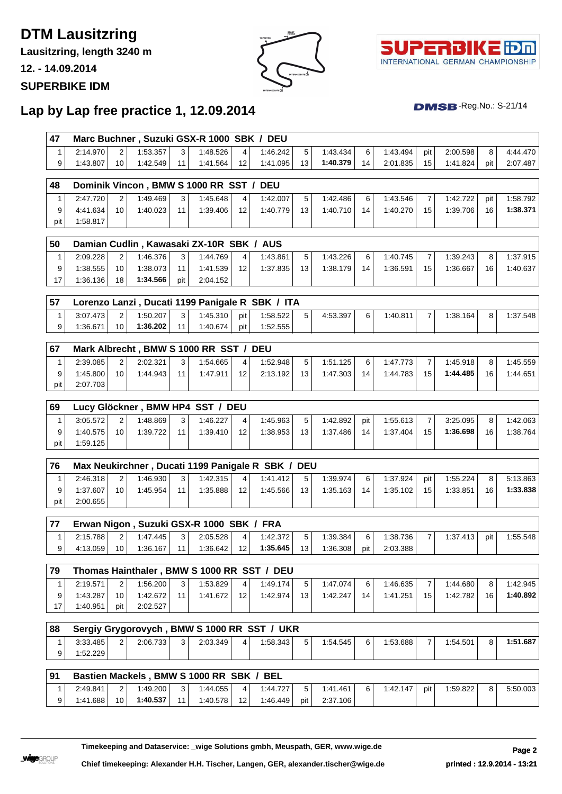# **DTM Lausitzring**

**Lausitzring, length 3240 m**

**12. - 14.09.2014**

#### **SUPERBIKE IDM**





 $DMSB$ -Reg.No.: S-21/14

## **Lap by Lap free practice 1, 12.09.2014**

| <b>47</b> |          |                 | Marc Buchner, Suzuki GSX-R 1000 SBK / DEU |              |          |                 |          |                 |          |                |          |                 |          |     |          |
|-----------|----------|-----------------|-------------------------------------------|--------------|----------|-----------------|----------|-----------------|----------|----------------|----------|-----------------|----------|-----|----------|
|           | 2:14.970 | $\sim$          | 1:53.357                                  | $\mathbf{r}$ | 1:48.526 | 4               | 1:46.242 | 5 <sup>1</sup>  | 1:43.434 | 6 <sup>1</sup> | 1:43.494 | pit             | 2:00.598 | 8   | 4:44.470 |
|           | 1:43.807 | 10 <sub>1</sub> | 1:42.549                                  |              | 1:41.564 | 12 <sub>1</sub> | 1:41.095 | 13 <sup>1</sup> | 1:40.379 | 14             | 2:01.835 | 15 <sup>1</sup> | 1:41.824 | pit | 2:07.487 |

| 148 |          |                 |          |                | Dominik Vincon, BMW S 1000 RR SST / DEU |                 |          |                 |          |    |          |    |          |     |          |
|-----|----------|-----------------|----------|----------------|-----------------------------------------|-----------------|----------|-----------------|----------|----|----------|----|----------|-----|----------|
|     | 2:47.720 | 2 <sub>1</sub>  | 1:49.469 | 3 <sup>1</sup> | 1:45.648                                | 4               | 1:42.007 |                 | 1:42.486 | 6  | 1:43.546 |    | 1:42.722 | pit | 1:58.792 |
| 9   | 4:41.634 | 10 <sup>1</sup> | 1:40.023 | 11             | 1:39.406                                | 12 <sup>2</sup> | 1:40.779 | 13 <sup>1</sup> | 1:40.710 | 14 | 1:40.270 | 15 | 1:39.706 | 16  | 1:38.371 |
| pit | 1:58.817 |                 |          |                |                                         |                 |          |                 |          |    |          |    |          |     |          |

| 50 |          |    |          |                 | Damian Cudlin, Kawasaki ZX-10R SBK / AUS |                 |          |    |          |    |          |    |          |    |          |
|----|----------|----|----------|-----------------|------------------------------------------|-----------------|----------|----|----------|----|----------|----|----------|----|----------|
|    | 2:09.228 |    | 1:46.376 | 3 <sub>1</sub>  | 1:44.769                                 | $\overline{4}$  | 1:43.861 | 5  | 1:43.226 | 6  | 1:40.745 |    | 1:39.243 | 8  | 1:37.915 |
| Q  | 1:38.555 |    | 1:38.073 | 11 <sub>1</sub> | 1:41.539                                 | 12 <sub>1</sub> | 1:37.835 | 13 | 1:38.179 | 14 | 1:36.591 | 15 | 1:36.667 | 16 | 1:40.637 |
| 17 | 1:36.136 | 18 | 1:34.566 | pit             | 2:04.152                                 |                 |          |    |          |    |          |    |          |    |          |

| 157 |          |        |              |        |          |     | Lorenzo Lanzi, Ducati 1199 Panigale R SBK / ITA |          |   |          |   |          |   |          |
|-----|----------|--------|--------------|--------|----------|-----|-------------------------------------------------|----------|---|----------|---|----------|---|----------|
|     | 3:07.473 | $\sim$ | 1:50.207     | $\sim$ | 1:45.310 | pit | 1:58.522                                        | 4:53.397 | 6 | 1:40.811 | - | 1:38.164 | 8 | 1:37.548 |
|     | 1:36.671 | 10     | $1:36.202 +$ | 11     | 1:40.674 | pit | 1:52.555                                        |          |   |          |   |          |   |          |

| 67  |              |                |          |                 | Mark Albrecht, BMW S 1000 RR SST / DEU |                 |          |                 |          |    |          |                 |          |    |          |
|-----|--------------|----------------|----------|-----------------|----------------------------------------|-----------------|----------|-----------------|----------|----|----------|-----------------|----------|----|----------|
|     | 2:39.085     | 2 <sub>1</sub> | 2:02.321 | 3 <sup>1</sup>  | 1:54.665                               | $\overline{4}$  | 1:52.948 | Б.              | 1:51.125 | 6  | 1:47.773 |                 | 1:45.918 | 8  | 1:45.559 |
| a   | $1:45.800 +$ | 10             | 1:44.943 | 11 <sub>1</sub> | 1:47.911                               | 12 <sup>1</sup> | 2:13.192 | 13 <sup>1</sup> | 1:47.303 | 14 | 1:44.783 | 15 <sup>1</sup> | 1:44.485 | 16 | 1:44.651 |
| pit | 2:07.703     |                |          |                 |                                        |                 |          |                 |          |    |          |                 |          |    |          |

| 69  |          |    |              |                | Lucy Glöckner, BMW HP4 SST / DEU |                |          |                  |          |     |          |                 |          |    |          |
|-----|----------|----|--------------|----------------|----------------------------------|----------------|----------|------------------|----------|-----|----------|-----------------|----------|----|----------|
|     | 3:05.572 |    | 1:48.869     | 3 <sup>1</sup> | 1:46.227                         | $\overline{4}$ | 1:45.963 |                  | 1:42.892 | pit | 1:55.613 |                 | 3:25.095 | 8  | 1:42.063 |
|     | 1:40.575 | 10 | $1:39.722 +$ | 11             | 1:39.410                         | 12             | 1:38.953 | 13 <sup>13</sup> | 1:37.486 | 14  | 1:37.404 | 15 <sup>1</sup> | 1:36.698 | 16 | 1:38.764 |
| pit | :59.125  |    |              |                |                                  |                |          |                  |          |     |          |                 |          |    |          |

| 76  |          |                 |          |                | Max Neukirchner, Ducati 1199 Panigale R SBK / DEU |                 |          |                 |          |    |          |     |          |                |          |
|-----|----------|-----------------|----------|----------------|---------------------------------------------------|-----------------|----------|-----------------|----------|----|----------|-----|----------|----------------|----------|
|     | 2:46.318 | 2 <sub>1</sub>  | 1:46.930 | 3 <sup>1</sup> | 1:42.315                                          | 4 I             | 1:41.412 | 5 <sup>1</sup>  | 1:39.974 | 6  | 1:37.924 | pit | 1:55.224 | 8 <sub>1</sub> | 5:13.863 |
|     | 1:37.607 | 10 <sub>1</sub> | 1:45.954 | 11             | 1:35.888                                          | 12 <sup>1</sup> | 1:45.566 | 13 <sup>1</sup> | 1:35.163 | 14 | 1:35.102 | 15  | 1:33.851 | 16             | 1:33.838 |
| pit | 2:00.655 |                 |          |                |                                                   |                 |          |                 |          |    |          |     |          |                |          |

|          |    |          |                | Erwan Nigon, Suzuki GSX-R 1000 SBK / FRA |                 |          |                 |          |     |          |               |          |     |          |
|----------|----|----------|----------------|------------------------------------------|-----------------|----------|-----------------|----------|-----|----------|---------------|----------|-----|----------|
| 2:15.788 | 2  | 1:47.445 | 3 <sub>1</sub> | 2:05.528                                 | 4               | 1:42.372 | 5               | 1:39.384 | 6   | 1:38.736 | $\rightarrow$ | 1:37.413 | pit | 1:55.548 |
| 4:13.059 | 10 | 1:36.167 |                | 1:36.642                                 | 12 <sub>1</sub> | 1:35.645 | 13 <sub>1</sub> | 1:36.308 | pit | 2:03.388 |               |          |     |          |

| 79 |          |     |              |    |          |                 | Thomas Hainthaler, BMW S 1000 RR SST / DEU |    |          |    |          |    |          |     |          |
|----|----------|-----|--------------|----|----------|-----------------|--------------------------------------------|----|----------|----|----------|----|----------|-----|----------|
|    | 2:19.571 | 2   | 1:56.200     | 3  | 1:53.829 | 4               | 1:49.174                                   |    | 1:47.074 | 6  | 1:46.635 |    | 1:44.680 | 8   | 1:42.945 |
|    | 1:43.287 | 10  | $1:42.672 +$ | 11 | 1:41.672 | 12 <sup>2</sup> | 1:42.974                                   | 13 | 1:42.247 | 14 | 1:41.251 | 15 | 1:42.782 | 16. | 1:40.892 |
| 17 | 1:40.951 | pit | 2:02.527     |    |          |                 |                                            |    |          |    |          |    |          |     |          |

| 88 |          |        |          |             | Sergiy Grygorovych, BMW S 1000 RR SST / |              | <b>UKR</b> |          |   |          |          |          |
|----|----------|--------|----------|-------------|-----------------------------------------|--------------|------------|----------|---|----------|----------|----------|
|    | 3:33.485 | $\sim$ | 2:06.733 | $\sim$<br>ٮ | 2:03.349                                | $\mathbf{4}$ | :58.343    | 1:54.545 | 6 | 1:53.688 | 1:54.501 | 1:51.687 |
| a  | 1:52.229 |        |          |             |                                         |              |            |          |   |          |          |          |

| 91 |          |    | Bastien Mackels, BMW S 1000 RR SBK |        |          |                        | BEL      |       |          |   |          |       |          |   |          |
|----|----------|----|------------------------------------|--------|----------|------------------------|----------|-------|----------|---|----------|-------|----------|---|----------|
|    | 2:49.841 | ົ  | 1:49.200                           | $\sim$ | 1:44.055 | $\mathbf{4}^{\dagger}$ | 1:44.727 | г.    | 1:41.461 | 6 | 1:42.147 | pit l | 1:59.822 | 8 | 5:50.003 |
|    | 1:41.688 | 10 | $1:40.537 +$                       |        | 1:40.578 | 12 <sub>1</sub>        | 1:46.449 | Dit ⊥ | 2:37.106 |   |          |       |          |   |          |